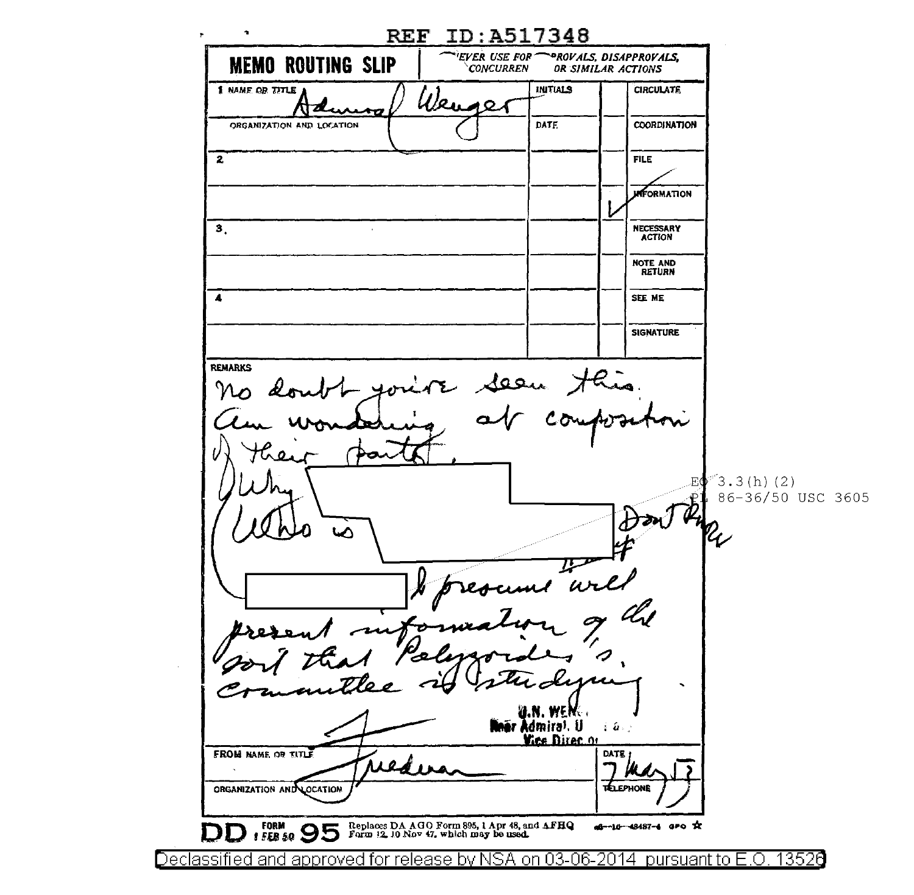$\mathcal{A}$ REF ID:A51734B  $\bullet$ *EVER USE FOR<sup>---</sup>PROVALS, DISAPPROVALS,<br>CONCURREN OR SIMILAR ACTIONS* **MEMO ROUTING SLIP** *OR SIMILAR ACTIONS* **INITIALS** CIRCUl.ATE  ${\boldsymbol{\varkappa}}_{\mathbf{u}}$ ⊿ 0. ATZI COORDINATION DATF. ORGANIZATION AND LOCATION  $\overline{z}$ **FILE UNFORMATION** 3, NECESSARY ACTION NOTE AND RETURN  $\blacktriangle$ SEE ME **SIGNATURE** REMARKS Seen His EΦ  $3.3(h)$  (2) 86-36/50 USC 3605 ⊾  $\omega$ I.N. WENG **när A**dmira). U  $\mathcal{L} \left( \mathcal{L} \right)$  , **Yice Director FROM NAME OF TITLE** DATE | ORGANIZATION AND LOCATION TELEPHONE **9 6**  $\overline{9}$  **<b>PD**  $\overline{9}$   $\overline{9}$   $\overline{9}$   $\overline{1}$   $\overline{1}$   $\overline{1}$   $\overline{2}$   $\overline{4}$   $\overline{2}$   $\overline{1}$   $\overline{2}$   $\overline{1}$   $\overline{2}$   $\overline{1}$   $\overline{2}$   $\overline{1}$   $\overline{2}$   $\overline{1}$   $\overline{2}$   $\overline{1}$   $\overline{2}$   $\overline{1}$   $\overline$ ag--10-48487-4 aPO X

Declassified and approved for release by NSA on 03-06-2014 pursuantto E.O. 1352a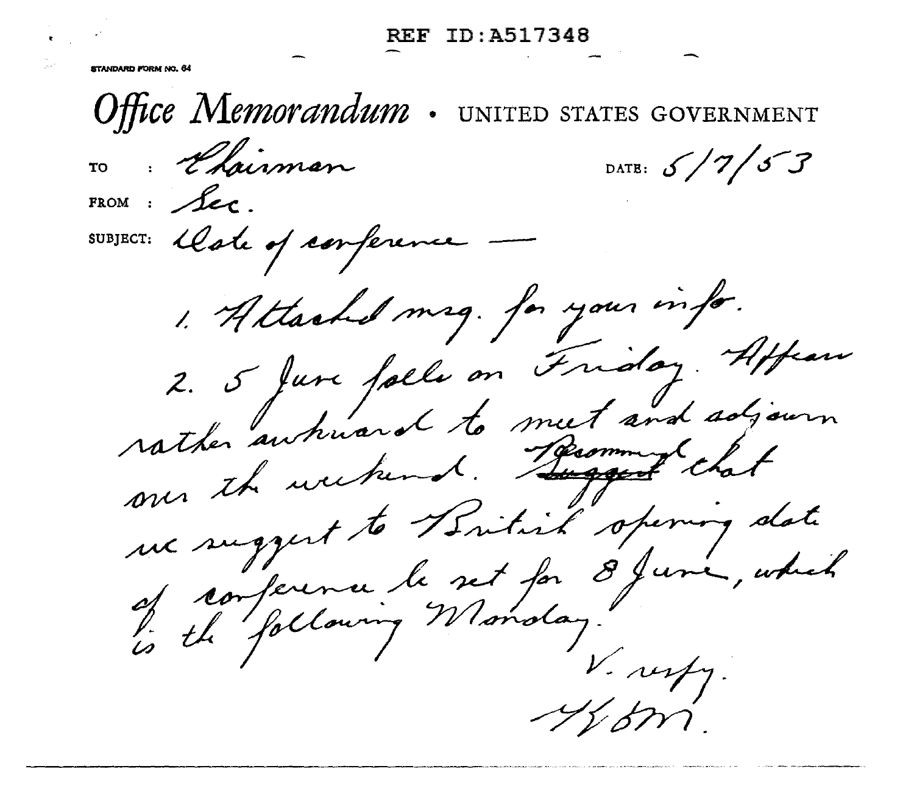REF ID:A51734B

**STANDARD KORM AD RA** 

Office Memorandum UNITED STATES GOVERNMENT Elsiman DATE:  $5/7/57$ FROM :  $f_{ec}$ SUBJECT: Cate of conference 1. Attached mag. for your info. 2. 5 June falle on Friday. Affrance.<br>rather autouard to meet and adjourn rather autours 16 Recommendant me suggest to British opening date ue sugger.<br>of conference le set for 8 june, which<br>is the following Monday. V. resty.